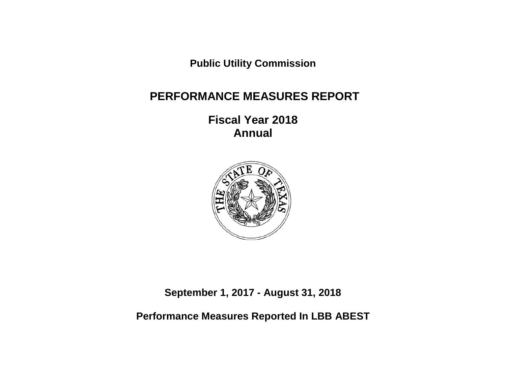**Public Utility Commission**

# **PERFORMANCE MEASURES REPORT**

**Fiscal Year 2018 Annual**



**September 1, 2017 - August 31, 2018**

**Performance Measures Reported In LBB ABEST**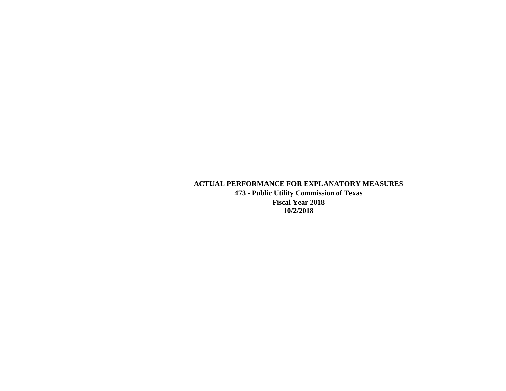## **ACTUAL PERFORMANCE FOR EXPLANATORY MEASURES**

**473 - Public Utility Commission of Texas Fiscal Year 2018 10/2/2018**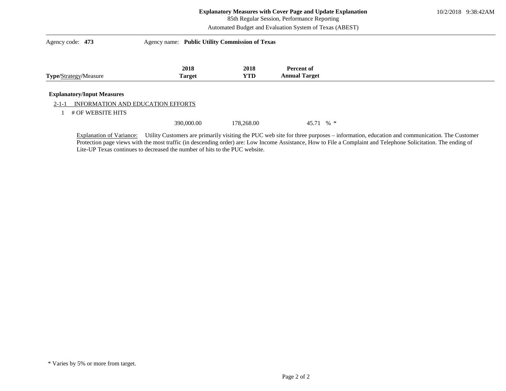#### **Explanatory Measures with Cover Page and Update Explanation**

85th Regular Session, Performance Reporting

Automated Budget and Evaluation System of Texas (ABEST)

| Agency code: 473                  | Agency name: Public Utility Commission of Texas |                    |                                           |  |
|-----------------------------------|-------------------------------------------------|--------------------|-------------------------------------------|--|
| Type/Strategy/Measure             | 2018<br><b>Target</b>                           | 2018<br><b>YTD</b> | <b>Percent of</b><br><b>Annual Target</b> |  |
| <b>Explanatory/Input Measures</b> |                                                 |                    |                                           |  |
| $2-1-1$<br># OF WEBSITE HITS      | INFORMATION AND EDUCATION EFFORTS               |                    |                                           |  |
|                                   | 390,000.00                                      | 178,268.00         | $% *$<br>45.71                            |  |

Explanation of Variance: Utility Customers are primarily visiting the PUC web site for three purposes – information, education and communication. The Customer Protection page views with the most traffic (in descending order) are: Low Income Assistance, How to File a Complaint and Telephone Solicitation. The ending of Lite-UP Texas continues to decreased the number of hits to the PUC website.

<sup>\*</sup> Varies by 5% or more from target.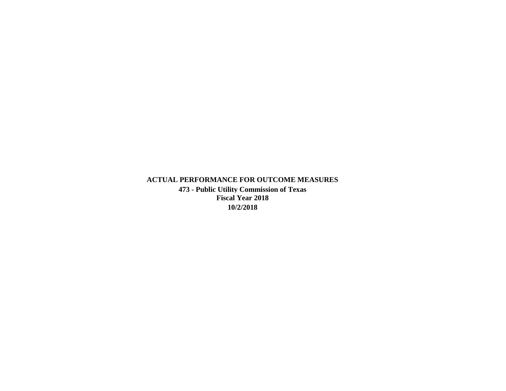**ACTUAL PERFORMANCE FOR OUTCOME MEASURES 473 - Public Utility Commission of Texas Fiscal Year 2018 10/2/2018**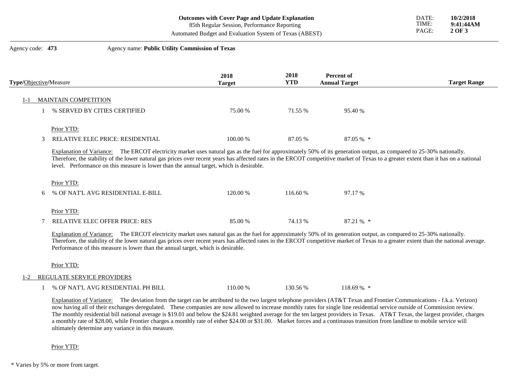85th Regular Session, Performance Reporting

Automated Budget and Evaluation System of Texas (ABEST)

#### Agency code: **473** Agency name: **Public Utility Commission of Texas**

| <b>Type/Objective/Measure</b>                                                                                                                                                  | 2018<br><b>Target</b> | 2018<br>YTD | Percent of<br><b>Annual Target</b> | <b>Target Range</b> |
|--------------------------------------------------------------------------------------------------------------------------------------------------------------------------------|-----------------------|-------------|------------------------------------|---------------------|
| <b>MAINTAIN COMPETITION</b><br>l – I                                                                                                                                           |                       |             |                                    |                     |
| % SERVED BY CITIES CERTIFIED                                                                                                                                                   | 75.00 %               | 71.55 %     | 95.40 %                            |                     |
| Prior YTD:                                                                                                                                                                     |                       |             |                                    |                     |
| 3 RELATIVE ELEC PRICE: RESIDENTIAL                                                                                                                                             | 100.00 %              | 87.05 %     | $87.05\%$ *                        |                     |
| The ERCOT electricity market uses natural gas as the fuel for approximately 50% of its generation output, as compared to 25-30% nationally.<br><b>Explanation of Variance:</b> |                       |             |                                    |                     |

Therefore, the stability of the lower natural gas prices over recent years has affected rates in the ERCOT competitive market of Texas to a greater extent than it has on a national level. Performance on this measure is lower than the annual target, which is desirable.

#### Prior YTD:

| 6 % OF NAT'L AVG RESIDENTIAL E-BILL. | 120.00 % | 116.60 % | 97.17 %     |
|--------------------------------------|----------|----------|-------------|
| Prior YTD:                           |          |          |             |
| 7 RELATIVE ELEC OFFER PRICE: RES     | 85.00 %  | 74.13 %  | $87.21\%$ * |

Explanation of Variance: The ERCOT electricity market uses natural gas as the fuel for approximately 50% of its generation output, as compared to 25-30% nationally. Therefore, the stability of the lower natural gas prices over recent years has affected rates in the ERCOT competitive market of Texas to a greater extent than the national average. Performance of this measure is lower than the annual target, which is desirable.

#### Prior YTD:

#### 1-2 REGULATE SERVICE PROVIDERS

#### 1 % OF NAT'L AVG RESIDENTIAL PH BILL 110.00 % 130.56 % 118.69 % \*

Explanation of Variance: The deviation from the target can be attributed to the two largest telephone providers (AT&T Texas and Frontier Communications - f.k.a. Verizon) now having all of their exchanges deregulated. These companies are now allowed to increase monthly rates for single line residential service outside of Commission review. The monthly residential bill national average is \$19.01 and below the \$24.81 weighted average for the ten largest providers in Texas. AT&T Texas, the largest provider, charges a monthly rate of \$28.00, while Frontier charges a monthly rate of either \$24.00 or \$31.00. Market forces and a continuous transition from landline to mobile service will ultimately determine any variance in this measure.

Prior YTD:

\* Varies by 5% or more from target.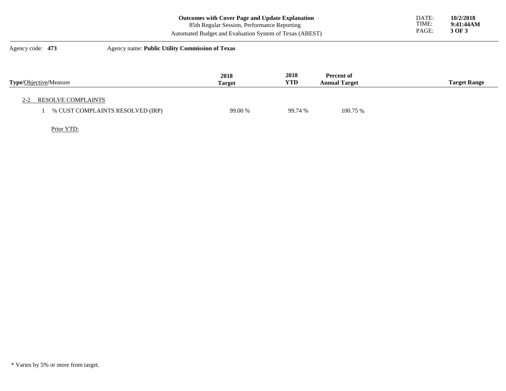| <b>Outcomes with Cover Page and Update Explanation</b>  | DATE: | 10/2/2018 |
|---------------------------------------------------------|-------|-----------|
| 85th Regular Session, Performance Reporting             | TIME: | 9:41:44AM |
| Automated Budget and Evaluation System of Texas (ABEST) | PAGE: | 3 OF 3    |

## Agency code: **473** Agency name: **Public Utility Commission of Texas**

| <b>Type/Objective/Measure</b>    | 2018<br><b>Target</b> | 2018<br>YTD | Percent of<br><b>Annual Target</b> | <b>Target Range</b> |
|----------------------------------|-----------------------|-------------|------------------------------------|---------------------|
| RESOLVE COMPLAINTS<br>$2 - 2$    |                       |             |                                    |                     |
| % CUST COMPLAINTS RESOLVED (IRP) | 99.00 %               | 99.74 %     | 100.75 %                           |                     |

Prior YTD:

<sup>\*</sup> Varies by 5% or more from target.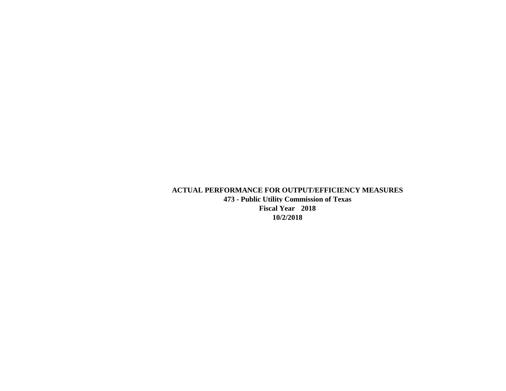**ACTUAL PERFORMANCE FOR OUTPUT/EFFICIENCY MEASURES 473 - Public Utility Commission of Texas Fiscal Year 2018 10/2/2018**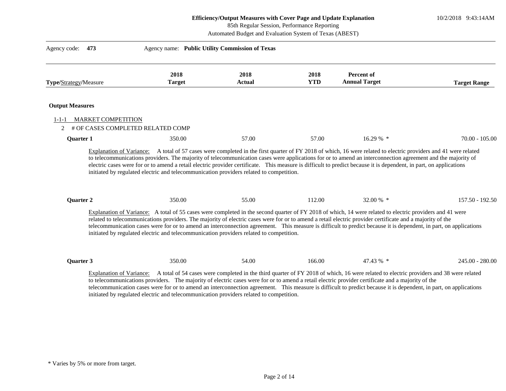# 85th Regular Session, Performance Reporting

| Type/Strategy/Measure                                                        | 2018<br><b>Target</b>                                                                             | 2018<br><b>Actual</b> | 2018<br><b>YTD</b> | <b>Percent of</b><br><b>Annual Target</b>                                                                                                                                                                                                                                                                                                                                                                                                                                                               | <b>Target Range</b> |
|------------------------------------------------------------------------------|---------------------------------------------------------------------------------------------------|-----------------------|--------------------|---------------------------------------------------------------------------------------------------------------------------------------------------------------------------------------------------------------------------------------------------------------------------------------------------------------------------------------------------------------------------------------------------------------------------------------------------------------------------------------------------------|---------------------|
| <b>Output Measures</b>                                                       |                                                                                                   |                       |                    |                                                                                                                                                                                                                                                                                                                                                                                                                                                                                                         |                     |
| <b>MARKET COMPETITION</b><br>1-1-1<br># OF CASES COMPLETED RELATED COMP<br>2 |                                                                                                   |                       |                    |                                                                                                                                                                                                                                                                                                                                                                                                                                                                                                         |                     |
| <b>Quarter 1</b>                                                             | 350.00                                                                                            | 57.00                 | 57.00              | 16.29 % *                                                                                                                                                                                                                                                                                                                                                                                                                                                                                               | $70.00 - 105.00$    |
|                                                                              |                                                                                                   |                       |                    |                                                                                                                                                                                                                                                                                                                                                                                                                                                                                                         |                     |
|                                                                              |                                                                                                   |                       |                    |                                                                                                                                                                                                                                                                                                                                                                                                                                                                                                         |                     |
| Quarter 2                                                                    | 350.00<br>initiated by regulated electric and telecommunication providers related to competition. | 55.00                 | 112.00             | 32.00 % *<br>Explanation of Variance: A total of 55 cases were completed in the second quarter of FY 2018 of which, 14 were related to electric providers and 41 were<br>related to telecommunications providers. The majority of electric cases were for or to amend a retail electric provider certificate and a majority of the<br>telecommunication cases were for or to amend an interconnection agreement. This measure is difficult to predict because it is dependent, in part, on applications | 157.50 - 192.50     |
| Quarter 3                                                                    | 350.00                                                                                            | 54.00                 | 166.00             | 47.43 % *                                                                                                                                                                                                                                                                                                                                                                                                                                                                                               | $245.00 - 280.00$   |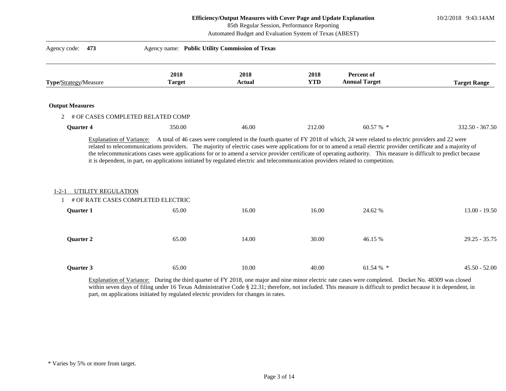10/2/2018 9:43:14AM

85th Regular Session, Performance Reporting

| Agency code:<br>473                                                 | Agency name: Public Utility Commission of Texas                                       |                       |                    |                                                                                                                                                                                                                                                                                                                             |                     |
|---------------------------------------------------------------------|---------------------------------------------------------------------------------------|-----------------------|--------------------|-----------------------------------------------------------------------------------------------------------------------------------------------------------------------------------------------------------------------------------------------------------------------------------------------------------------------------|---------------------|
| Type/Strategy/Measure                                               | 2018<br><b>Target</b>                                                                 | 2018<br><b>Actual</b> | 2018<br><b>YTD</b> | <b>Percent of</b><br><b>Annual Target</b>                                                                                                                                                                                                                                                                                   | <b>Target Range</b> |
| <b>Output Measures</b>                                              |                                                                                       |                       |                    |                                                                                                                                                                                                                                                                                                                             |                     |
| # OF CASES COMPLETED RELATED COMP<br>2                              |                                                                                       |                       |                    |                                                                                                                                                                                                                                                                                                                             |                     |
| <b>Ouarter 4</b>                                                    | 350.00                                                                                | 46.00                 | 212.00             | 60.57 % *                                                                                                                                                                                                                                                                                                                   | 332.50 - 367.50     |
| UTILITY REGULATION<br>$1-2-1$<br># OF RATE CASES COMPLETED ELECTRIC |                                                                                       |                       |                    |                                                                                                                                                                                                                                                                                                                             |                     |
| <b>Quarter 1</b>                                                    | 65.00                                                                                 | 16.00                 | 16.00              | 24.62 %                                                                                                                                                                                                                                                                                                                     | $13.00 - 19.50$     |
| <b>Quarter 2</b>                                                    | 65.00                                                                                 | 14.00                 | 30.00              | 46.15 %                                                                                                                                                                                                                                                                                                                     | $29.25 - 35.75$     |
| Quarter 3                                                           | 65.00                                                                                 | 10.00                 | 40.00              | 61.54 % *                                                                                                                                                                                                                                                                                                                   | $45.50 - 52.00$     |
|                                                                     | part, on applications initiated by regulated electric providers for changes in rates. |                       |                    | Explanation of Variance: During the third quarter of FY 2018, one major and nine minor electric rate cases were completed. Docket No. 48309 was closed<br>within seven days of filing under 16 Texas Administrative Code § 22.31; therefore, not included. This measure is difficult to predict because it is dependent, in |                     |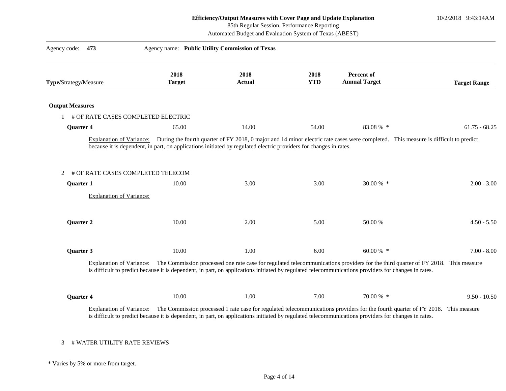10/2/2018 9:43:14AM

85th Regular Session, Performance Reporting

Automated Budget and Evaluation System of Texas (ABEST)

| Agency code:<br>473    |                                                                                                                                                                                        | Agency name: Public Utility Commission of Texas |                    |                                    |                                                                                                                                                              |
|------------------------|----------------------------------------------------------------------------------------------------------------------------------------------------------------------------------------|-------------------------------------------------|--------------------|------------------------------------|--------------------------------------------------------------------------------------------------------------------------------------------------------------|
| Type/Strategy/Measure  | 2018<br><b>Target</b>                                                                                                                                                                  | 2018<br><b>Actual</b>                           | 2018<br><b>YTD</b> | Percent of<br><b>Annual Target</b> | <b>Target Range</b>                                                                                                                                          |
| <b>Output Measures</b> |                                                                                                                                                                                        |                                                 |                    |                                    |                                                                                                                                                              |
|                        | 1 # OF RATE CASES COMPLETED ELECTRIC                                                                                                                                                   |                                                 |                    |                                    |                                                                                                                                                              |
| <b>Quarter 4</b>       | 65.00                                                                                                                                                                                  | 14.00                                           | 54.00              | 83.08 % *                          | $61.75 - 68.25$                                                                                                                                              |
|                        | because it is dependent, in part, on applications initiated by regulated electric providers for changes in rates.                                                                      |                                                 |                    |                                    | Explanation of Variance: During the fourth quarter of FY 2018, 0 major and 14 minor electric rate cases were completed. This measure is difficult to predict |
| 2                      | # OF RATE CASES COMPLETED TELECOM                                                                                                                                                      |                                                 |                    |                                    |                                                                                                                                                              |
| Quarter 1              | 10.00                                                                                                                                                                                  | 3.00                                            | 3.00               | 30.00 % *                          | $2.00 - 3.00$                                                                                                                                                |
|                        | <b>Explanation of Variance:</b>                                                                                                                                                        |                                                 |                    |                                    |                                                                                                                                                              |
| <b>Quarter 2</b>       | 10.00                                                                                                                                                                                  | 2.00                                            | 5.00               | 50.00 %                            | $4.50 - 5.50$                                                                                                                                                |
| Quarter 3              | 10.00                                                                                                                                                                                  | 1.00                                            | 6.00               | 60.00 % *                          | $7.00 - 8.00$                                                                                                                                                |
|                        | <b>Explanation of Variance:</b><br>is difficult to predict because it is dependent, in part, on applications initiated by regulated telecommunications providers for changes in rates. |                                                 |                    |                                    | The Commission processed one rate case for regulated telecommunications providers for the third quarter of FY 2018. This measure                             |
| Quarter 4              | 10.00                                                                                                                                                                                  | 1.00                                            | 7.00               | 70.00 % *                          | $9.50 - 10.50$                                                                                                                                               |
|                        | <b>Explanation of Variance:</b><br>is difficult to predict because it is dependent, in part, on applications initiated by regulated telecommunications providers for changes in rates. |                                                 |                    |                                    | The Commission processed 1 rate case for regulated telecommunications providers for the fourth quarter of FY 2018. This measure                              |

#### 3 # WATER UTILITY RATE REVIEWS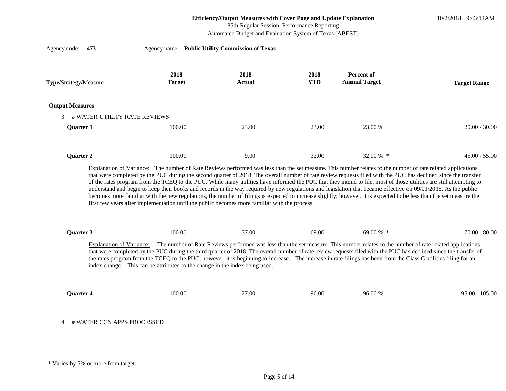85th Regular Session, Performance Reporting

| Type/Strategy/Measure  |                                 | 2018<br><b>Target</b>                                                                         | 2018<br><b>Actual</b> | 2018<br><b>YTD</b> | Percent of<br><b>Annual Target</b>                                                                                                                                                                                                                                                                                                                                                                                                                                                                           | <b>Target Range</b> |
|------------------------|---------------------------------|-----------------------------------------------------------------------------------------------|-----------------------|--------------------|--------------------------------------------------------------------------------------------------------------------------------------------------------------------------------------------------------------------------------------------------------------------------------------------------------------------------------------------------------------------------------------------------------------------------------------------------------------------------------------------------------------|---------------------|
| <b>Output Measures</b> |                                 |                                                                                               |                       |                    |                                                                                                                                                                                                                                                                                                                                                                                                                                                                                                              |                     |
| $3 -$                  | # WATER UTILITY RATE REVIEWS    |                                                                                               |                       |                    |                                                                                                                                                                                                                                                                                                                                                                                                                                                                                                              |                     |
| <b>Quarter 1</b>       |                                 | 100.00                                                                                        | 23.00                 | 23.00              | 23.00 %                                                                                                                                                                                                                                                                                                                                                                                                                                                                                                      | $20.00 - 30.00$     |
| Quarter 2              |                                 | 100.00                                                                                        | 9.00                  | 32.00              | 32.00 % *                                                                                                                                                                                                                                                                                                                                                                                                                                                                                                    | $45.00 - 55.00$     |
|                        |                                 |                                                                                               |                       |                    | Explanation of Variance: The number of Rate Reviews performed was less than the set measure. This number relates to the number of rate related applications<br>that were completed by the PUC during the second quarter of 2018. The overall number of rate review requests filed with the PUC has declined since the transfer                                                                                                                                                                               |                     |
|                        |                                 | first few years after implementation until the public becomes more familiar with the process. |                       |                    | of the rates program from the TCEQ to the PUC. While many utilities have informed the PUC that they intend to file, most of those utilities are still attempting to<br>understand and begin to keep their books and records in the way required by new regulations and legislation that became effective on 09/01/2015. As the public<br>becomes more familiar with the new regulations, the number of filings is expected to increase slightly; however, it is expected to be less than the set measure the |                     |
| Quarter 3              | <b>Explanation of Variance:</b> | 100.00<br>index change. This can be attributed to the change in the index being used.         | 37.00                 | 69.00              | 69.00 % *<br>The number of Rate Reviews performed was less than the set measure. This number relates to the number of rate related applications<br>that were completed by the PUC during the third quarter of 2018. The overall number of rate review requests filed with the PUC has declined since the transfer of<br>the rates program from the TCEQ to the PUC; however, it is beginning to increase. The increase in rate filings has been from the Class C utilities filing for an                     | $70.00 - 80.00$     |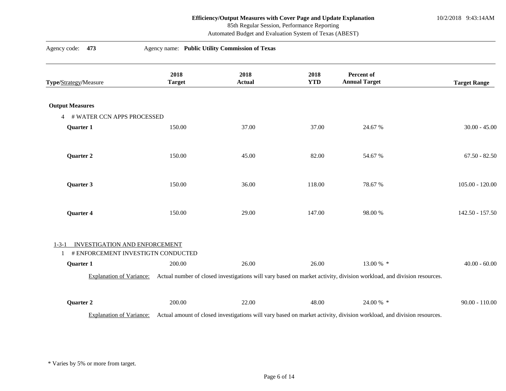10/2/2018 9:43:14AM

85th Regular Session, Performance Reporting

| Agency code: 473                                                                        | Agency name: Public Utility Commission of Texas |                       |                    |                                                                                                                       |                     |
|-----------------------------------------------------------------------------------------|-------------------------------------------------|-----------------------|--------------------|-----------------------------------------------------------------------------------------------------------------------|---------------------|
| Type/Strategy/Measure                                                                   | 2018<br><b>Target</b>                           | 2018<br><b>Actual</b> | 2018<br><b>YTD</b> | Percent of<br><b>Annual Target</b>                                                                                    | <b>Target Range</b> |
| <b>Output Measures</b>                                                                  |                                                 |                       |                    |                                                                                                                       |                     |
| 4 # WATER CCN APPS PROCESSED                                                            |                                                 |                       |                    |                                                                                                                       |                     |
| Quarter 1                                                                               | 150.00                                          | 37.00                 | 37.00              | 24.67 %                                                                                                               | $30.00 - 45.00$     |
| Quarter 2                                                                               | 150.00                                          | 45.00                 | 82.00              | 54.67 %                                                                                                               | $67.50 - 82.50$     |
| Quarter 3                                                                               | 150.00                                          | 36.00                 | 118.00             | 78.67 %                                                                                                               | $105.00 - 120.00$   |
| Quarter 4                                                                               | 150.00                                          | 29.00                 | 147.00             | 98.00 %                                                                                                               | 142.50 - 157.50     |
| INVESTIGATION AND ENFORCEMENT<br>$1 - 3 - 1$<br># ENFORCEMENT INVESTIGTN CONDUCTED<br>1 |                                                 |                       |                    |                                                                                                                       |                     |
| Quarter 1                                                                               | 200.00                                          | 26.00                 | 26.00              | 13.00 % *                                                                                                             | $40.00 - 60.00$     |
| <b>Explanation of Variance:</b>                                                         |                                                 |                       |                    | Actual number of closed investigations will vary based on market activity, division workload, and division resources. |                     |
| Quarter 2                                                                               | 200.00                                          | 22.00                 | 48.00              | 24.00 % *                                                                                                             | $90.00 - 110.00$    |
| <b>Explanation of Variance:</b>                                                         |                                                 |                       |                    | Actual amount of closed investigations will vary based on market activity, division workload, and division resources. |                     |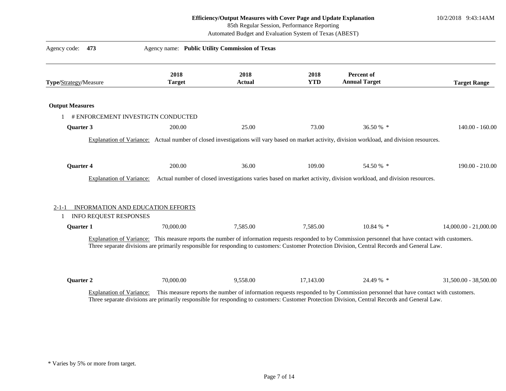10/2/2018 9:43:14AM

85th Regular Session, Performance Reporting

| Agency code:<br>473                    | Agency name: Public Utility Commission of Texas |                       |                    |                                                                                                                                                                                                                                                                                                           |                         |
|----------------------------------------|-------------------------------------------------|-----------------------|--------------------|-----------------------------------------------------------------------------------------------------------------------------------------------------------------------------------------------------------------------------------------------------------------------------------------------------------|-------------------------|
| Type/Strategy/Measure                  | 2018<br><b>Target</b>                           | 2018<br><b>Actual</b> | 2018<br><b>YTD</b> | Percent of<br><b>Annual Target</b>                                                                                                                                                                                                                                                                        | <b>Target Range</b>     |
| <b>Output Measures</b>                 |                                                 |                       |                    |                                                                                                                                                                                                                                                                                                           |                         |
|                                        | # ENFORCEMENT INVESTIGTN CONDUCTED              |                       |                    |                                                                                                                                                                                                                                                                                                           |                         |
| <b>Quarter 3</b>                       | 200.00                                          | 25.00                 | 73.00              | 36.50 % *                                                                                                                                                                                                                                                                                                 | $140.00 - 160.00$       |
|                                        |                                                 |                       |                    | Explanation of Variance: Actual number of closed investigations will vary based on market activity, division workload, and division resources.                                                                                                                                                            |                         |
| <b>Quarter 4</b>                       | 200.00                                          | 36.00                 | 109.00             | 54.50 % *                                                                                                                                                                                                                                                                                                 | $190.00 - 210.00$       |
| <b>Explanation of Variance:</b>        |                                                 |                       |                    | Actual number of closed investigations varies based on market activity, division workload, and division resources.                                                                                                                                                                                        |                         |
| 2-1-1<br><b>INFO REQUEST RESPONSES</b> | INFORMATION AND EDUCATION EFFORTS               |                       |                    |                                                                                                                                                                                                                                                                                                           |                         |
| Quarter 1                              | 70,000.00                                       | 7,585.00              | 7,585.00           | $10.84\%$ *                                                                                                                                                                                                                                                                                               | $14,000.00 - 21,000.00$ |
|                                        |                                                 |                       |                    | Explanation of Variance: This measure reports the number of information requests responded to by Commission personnel that have contact with customers.<br>Three separate divisions are primarily responsible for responding to customers: Customer Protection Division, Central Records and General Law. |                         |
| <b>Quarter 2</b>                       | 70,000.00                                       | 9,558.00              | 17,143.00          | 24.49 % *                                                                                                                                                                                                                                                                                                 | 31,500.00 - 38,500.00   |
| <b>Explanation of Variance:</b>        |                                                 |                       |                    | This measure reports the number of information requests responded to by Commission personnel that have contact with customers.<br>Three separate divisions are primarily responsible for responding to customers: Customer Protection Division, Central Records and General Law.                          |                         |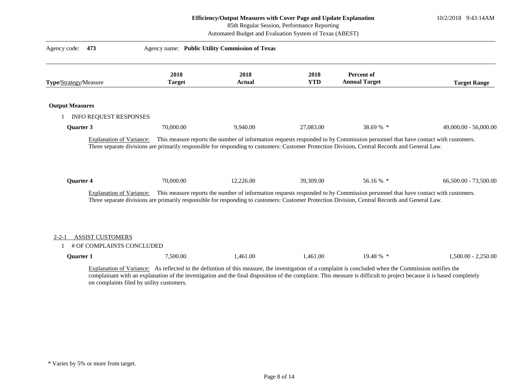10/2/2018 9:43:14AM

85th Regular Session, Performance Reporting

Automated Budget and Evaluation System of Texas (ABEST)

| 2018<br><b>Target</b> | 2018<br><b>Actual</b>                                                                                                            | 2018<br><b>YTD</b> | <b>Percent of</b><br><b>Annual Target</b> | <b>Target Range</b>                                                                                                                                                                                                                                                                                                                                                                                                                                                                                                                                                  |
|-----------------------|----------------------------------------------------------------------------------------------------------------------------------|--------------------|-------------------------------------------|----------------------------------------------------------------------------------------------------------------------------------------------------------------------------------------------------------------------------------------------------------------------------------------------------------------------------------------------------------------------------------------------------------------------------------------------------------------------------------------------------------------------------------------------------------------------|
|                       |                                                                                                                                  |                    |                                           |                                                                                                                                                                                                                                                                                                                                                                                                                                                                                                                                                                      |
|                       |                                                                                                                                  |                    |                                           |                                                                                                                                                                                                                                                                                                                                                                                                                                                                                                                                                                      |
| 70,000.00             | 9,940.00                                                                                                                         | 27,083.00          | 38.69 % *                                 | $49,000.00 - 56,000.00$                                                                                                                                                                                                                                                                                                                                                                                                                                                                                                                                              |
| 70,000.00             | 12,226.00                                                                                                                        | 39,309.00          | 56.16 % *                                 | 66,500.00 - 73,500.00                                                                                                                                                                                                                                                                                                                                                                                                                                                                                                                                                |
|                       |                                                                                                                                  |                    |                                           |                                                                                                                                                                                                                                                                                                                                                                                                                                                                                                                                                                      |
| 7,500.00              | 1,461.00                                                                                                                         | 1,461.00           | 19.48 % *                                 | $1,500.00 - 2,250.00$                                                                                                                                                                                                                                                                                                                                                                                                                                                                                                                                                |
|                       | <b>INFO REQUEST RESPONSES</b><br><b>Explanation of Variance:</b><br><b>Explanation of Variance:</b><br># OF COMPLAINTS CONCLUDED |                    |                                           | This measure reports the number of information requests responded to by Commission personnel that have contact with customers.<br>Three separate divisions are primarily responsible for responding to customers: Customer Protection Division, Central Records and General Law.<br>This measure reports the number of information requests responded to by Commission personnel that have contact with customers.<br>Three separate divisions are primarily responsible for responding to customers: Customer Protection Division, Central Records and General Law. |

complainant with an explanation of the investigation and the final disposition of the complaint. This measure is difficult to project because it is based completely on complaints filed by utility customers.

<sup>\*</sup> Varies by 5% or more from target.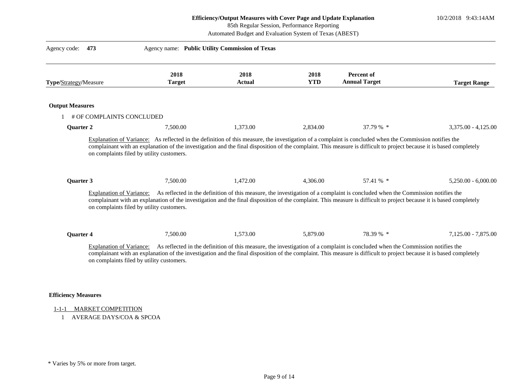10/2/2018 9:43:14AM

85th Regular Session, Performance Reporting

Automated Budget and Evaluation System of Texas (ABEST)

| Type/Strategy/Measure  |                                 | 2018<br><b>Target</b>                                 | 2018<br><b>Actual</b> | 2018<br><b>YTD</b> | Percent of<br><b>Annual Target</b>                                                                                                                                                                                                                                                                                  | <b>Target Range</b>                                                                                                                                                  |
|------------------------|---------------------------------|-------------------------------------------------------|-----------------------|--------------------|---------------------------------------------------------------------------------------------------------------------------------------------------------------------------------------------------------------------------------------------------------------------------------------------------------------------|----------------------------------------------------------------------------------------------------------------------------------------------------------------------|
|                        |                                 |                                                       |                       |                    |                                                                                                                                                                                                                                                                                                                     |                                                                                                                                                                      |
| <b>Output Measures</b> |                                 |                                                       |                       |                    |                                                                                                                                                                                                                                                                                                                     |                                                                                                                                                                      |
|                        | # OF COMPLAINTS CONCLUDED       |                                                       |                       |                    |                                                                                                                                                                                                                                                                                                                     |                                                                                                                                                                      |
| Quarter 2              |                                 | 7,500.00                                              | 1,373.00              | 2,834.00           | 37.79 % *                                                                                                                                                                                                                                                                                                           | $3,375.00 - 4,125.00$                                                                                                                                                |
|                        |                                 | on complaints filed by utility customers.             |                       |                    |                                                                                                                                                                                                                                                                                                                     | complainant with an explanation of the investigation and the final disposition of the complaint. This measure is difficult to project because it is based completely |
|                        |                                 |                                                       |                       |                    |                                                                                                                                                                                                                                                                                                                     |                                                                                                                                                                      |
| Quarter 3              | <b>Explanation of Variance:</b> | 7,500.00<br>on complaints filed by utility customers. | 1,472.00              | 4,306.00           | 57.41 % *<br>As reflected in the definition of this measure, the investigation of a complaint is concluded when the Commission notifies the<br>complainant with an explanation of the investigation and the final disposition of the complaint. This measure is difficult to project because it is based completely | $5,250.00 - 6,000.00$                                                                                                                                                |
| Quarter 4              |                                 | 7,500.00                                              | 1,573.00              | 5,879.00           | 78.39 % *                                                                                                                                                                                                                                                                                                           | 7,125.00 - 7,875.00                                                                                                                                                  |

#### **Efficiency Measures**

- 1-1-1 MARKET COMPETITION
	- 1 AVERAGE DAYS/COA & SPCOA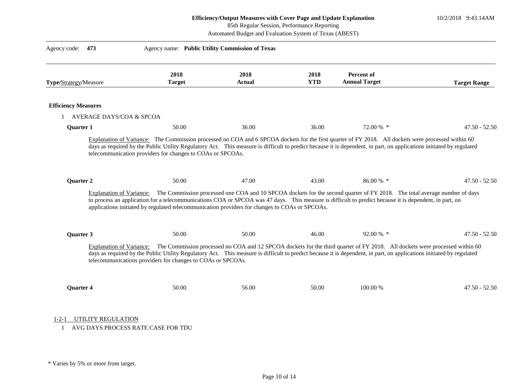10/2/2018 9:43:14AM

85th Regular Session, Performance Reporting

| Type/Strategy/Measure           | 2018<br><b>Target</b>                                                                                   | 2018<br>Actual | 2018<br><b>YTD</b> | Percent of<br><b>Annual Target</b>                                                                                                                                                                                                                                                                                        | <b>Target Range</b> |
|---------------------------------|---------------------------------------------------------------------------------------------------------|----------------|--------------------|---------------------------------------------------------------------------------------------------------------------------------------------------------------------------------------------------------------------------------------------------------------------------------------------------------------------------|---------------------|
| <b>Efficiency Measures</b>      |                                                                                                         |                |                    |                                                                                                                                                                                                                                                                                                                           |                     |
| AVERAGE DAYS/COA & SPCOA        |                                                                                                         |                |                    |                                                                                                                                                                                                                                                                                                                           |                     |
| Quarter 1                       | 50.00                                                                                                   | 36.00          | 36.00              | 72.00 % *                                                                                                                                                                                                                                                                                                                 | $47.50 - 52.50$     |
|                                 | telecommunication providers for changes to COAs or SPCOAs.                                              |                |                    | days as required by the Public Utility Regulatory Act. This measure is difficult to predict because it is dependent, in part, on applications initiated by regulated                                                                                                                                                      |                     |
| Quarter 2                       | 50.00                                                                                                   | 47.00          | 43.00              | 86.00 % *                                                                                                                                                                                                                                                                                                                 | $47.50 - 52.50$     |
| Quarter 3                       | applications initiated by regulated telecommunication providers for changes to COAs or SPCOAs.<br>50.00 | 50.00          | 46.00              | Explanation of Variance: The Commission processed one COA and 10 SPCOA dockets for the second quarter of FY 2018. The total average number of days<br>to process an application for a telecommunications COA or SPCOA was 47 days. This measure is difficult to predict because it is dependent, in part, on<br>92.00 % * | $47.50 - 52.50$     |
| <b>Explanation of Variance:</b> | telecommunications providers for changes to COAs or SPCOAs.                                             |                |                    | The Commission processed no COA and 12 SPCOA dockets for the third quarter of FY 2018. All dockets were processed within 60<br>days as required by the Public Utility Regulatory Act. This measure is difficult to predict because it is dependent, in part, on applications initiated by regulated                       |                     |
|                                 | 50.00                                                                                                   | 56.00          | 50.00              | 100.00 %                                                                                                                                                                                                                                                                                                                  | $47.50 - 52.50$     |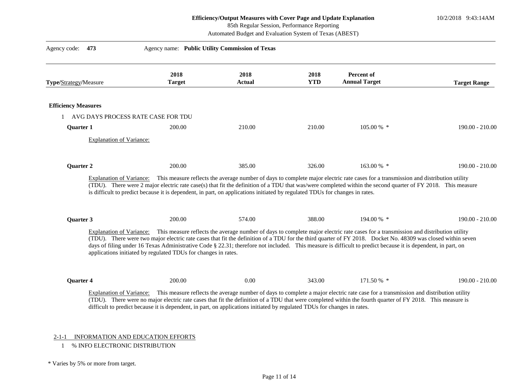10/2/2018 9:43:14AM

85th Regular Session, Performance Reporting

Automated Budget and Evaluation System of Texas (ABEST)

| Type/Strategy/Measure      |                                 | 2018<br><b>Target</b>                                                                                                                                                                                                         | 2018<br>Actual | 2018<br><b>YTD</b> | Percent of<br><b>Annual Target</b>                                                                                                                                        | <b>Target Range</b> |
|----------------------------|---------------------------------|-------------------------------------------------------------------------------------------------------------------------------------------------------------------------------------------------------------------------------|----------------|--------------------|---------------------------------------------------------------------------------------------------------------------------------------------------------------------------|---------------------|
| <b>Efficiency Measures</b> |                                 |                                                                                                                                                                                                                               |                |                    |                                                                                                                                                                           |                     |
|                            |                                 | AVG DAYS PROCESS RATE CASE FOR TDU                                                                                                                                                                                            |                |                    |                                                                                                                                                                           |                     |
| <b>Ouarter 1</b>           |                                 | 200.00                                                                                                                                                                                                                        | 210.00         | 210.00             | 105.00 % *                                                                                                                                                                | $190.00 - 210.00$   |
|                            | <b>Explanation of Variance:</b> |                                                                                                                                                                                                                               |                |                    |                                                                                                                                                                           |                     |
| <b>Quarter 2</b>           |                                 | 200.00                                                                                                                                                                                                                        | 385.00         | 326.00             | 163.00 % *                                                                                                                                                                | $190.00 - 210.00$   |
|                            |                                 | is difficult to predict because it is dependent, in part, on applications initiated by regulated TDUs for changes in rates.<br>200.00                                                                                         | 574.00         | 388.00             | (TDU). There were 2 major electric rate case(s) that fit the definition of a TDU that was/were completed within the second quarter of FY 2018. This measure<br>194.00 % * | $190.00 - 210.00$   |
| Quarter 3                  |                                 |                                                                                                                                                                                                                               |                |                    | This measure reflects the average number of days to complete major electric rate cases for a transmission and distribution utility                                        |                     |
|                            | <b>Explanation of Variance:</b> | (TDU). There were two major electric rate cases that fit the definition of a TDU for the third quarter of FY 2018. Docket No. 48309 was closed within seven<br>applications initiated by regulated TDUs for changes in rates. |                |                    | days of filing under 16 Texas Administrative Code § 22.31; therefore not included. This measure is difficult to predict because it is dependent, in part, on              |                     |
| Quarter 4                  |                                 | 200.00                                                                                                                                                                                                                        | 0.00           | 343.00             | 171.50 % *                                                                                                                                                                | $190.00 - 210.00$   |

\* Varies by 5% or more from target.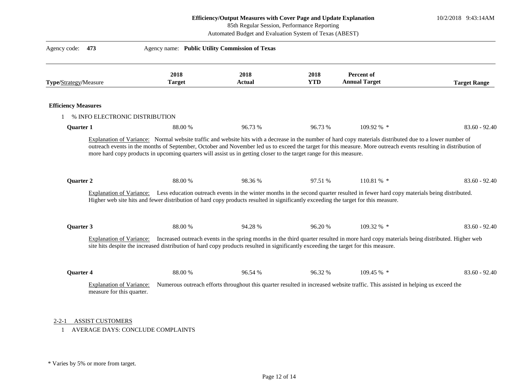10/2/2018 9:43:14AM

| 473<br>Agency code:             | Agency name: Public Utility Commission of Texas                                                                                               |                       |                                                                                                                                 |                                                                                                                                                                        |                     |
|---------------------------------|-----------------------------------------------------------------------------------------------------------------------------------------------|-----------------------|---------------------------------------------------------------------------------------------------------------------------------|------------------------------------------------------------------------------------------------------------------------------------------------------------------------|---------------------|
| Type/Strategy/Measure           | 2018<br><b>Target</b>                                                                                                                         | 2018<br><b>Actual</b> | 2018<br><b>YTD</b>                                                                                                              | Percent of<br><b>Annual Target</b>                                                                                                                                     | <b>Target Range</b> |
| <b>Efficiency Measures</b>      |                                                                                                                                               |                       |                                                                                                                                 |                                                                                                                                                                        |                     |
| % INFO ELECTRONIC DISTRIBUTION  |                                                                                                                                               |                       |                                                                                                                                 |                                                                                                                                                                        |                     |
| Quarter 1                       | 88.00 %                                                                                                                                       | 96.73 %               | 96.73 %                                                                                                                         | 109.92 % *                                                                                                                                                             | $83.60 - 92.40$     |
| Quarter 2                       | 88.00 %<br>Higher web site hits and fewer distribution of hard copy products resulted in significantly exceeding the target for this measure. | 98.36%                | 97.51 %                                                                                                                         | 110.81%<br>Explanation of Variance: Less education outreach events in the winter months in the second quarter resulted in fewer hard copy materials being distributed. | $83.60 - 92.40$     |
| Quarter 3                       | 88.00 %                                                                                                                                       | 94.28 %               | 96.20 %                                                                                                                         | $109.32\%$ *                                                                                                                                                           | $83.60 - 92.40$     |
| <b>Explanation of Variance:</b> | site hits despite the increased distribution of hard copy products resulted in significantly exceeding the target for this measure.           |                       |                                                                                                                                 | Increased outreach events in the spring months in the third quarter resulted in more hard copy materials being distributed. Higher web                                 |                     |
| Quarter 4                       | 88.00 %                                                                                                                                       | 96.54 %               | 96.32 %                                                                                                                         | 109.45 % *                                                                                                                                                             | $83.60 - 92.40$     |
|                                 |                                                                                                                                               |                       | Numerous outreach efforts throughout this quarter resulted in increased website traffic. This assisted in helping us exceed the |                                                                                                                                                                        |                     |

1 AVERAGE DAYS: CONCLUDE COMPLAINTS

\* Varies by 5% or more from target.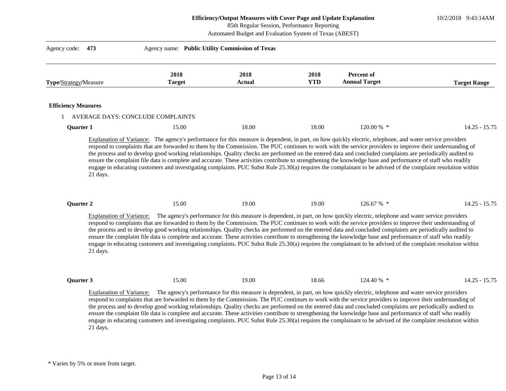10/2/2018 9:43:14AM

85th Regular Session, Performance Reporting

| Agency code:               | 473      | Agency name: Public Utility Commission of Texas                                                                                                                                                                                                                                                                                                                                                                                                                                                                                                                                                                                                                                                                                                                                                                          |                       |                    |                                           |                     |
|----------------------------|----------|--------------------------------------------------------------------------------------------------------------------------------------------------------------------------------------------------------------------------------------------------------------------------------------------------------------------------------------------------------------------------------------------------------------------------------------------------------------------------------------------------------------------------------------------------------------------------------------------------------------------------------------------------------------------------------------------------------------------------------------------------------------------------------------------------------------------------|-----------------------|--------------------|-------------------------------------------|---------------------|
| Type/Strategy/Measure      |          | 2018<br><b>Target</b>                                                                                                                                                                                                                                                                                                                                                                                                                                                                                                                                                                                                                                                                                                                                                                                                    | 2018<br><b>Actual</b> | 2018<br><b>YTD</b> | <b>Percent of</b><br><b>Annual Target</b> | <b>Target Range</b> |
| <b>Efficiency Measures</b> |          |                                                                                                                                                                                                                                                                                                                                                                                                                                                                                                                                                                                                                                                                                                                                                                                                                          |                       |                    |                                           |                     |
|                            |          | AVERAGE DAYS: CONCLUDE COMPLAINTS                                                                                                                                                                                                                                                                                                                                                                                                                                                                                                                                                                                                                                                                                                                                                                                        |                       |                    |                                           |                     |
| Quarter 1                  |          | 15.00                                                                                                                                                                                                                                                                                                                                                                                                                                                                                                                                                                                                                                                                                                                                                                                                                    | 18.00                 | 18.00              | 120.00 % *                                | $14.25 - 15.75$     |
|                            | 21 days. | respond to complaints that are forwarded to them by the Commission. The PUC continues to work with the service providers to improve their understanding of<br>the process and to develop good working relationships. Quality checks are performed on the entered data and concluded complaints are periodically audited to<br>ensure the complaint file data is complete and accurate. These activities contribute to strengthening the knowledge base and performance of staff who readily<br>engage in educating customers and investigating complaints. PUC Subst Rule 25.30(a) requires the complainant to be advised of the complaint resolution within                                                                                                                                                             |                       |                    |                                           |                     |
| Quarter 2                  |          | 15.00                                                                                                                                                                                                                                                                                                                                                                                                                                                                                                                                                                                                                                                                                                                                                                                                                    | 19.00                 | 19.00              | 126.67 % *                                | $14.25 - 15.75$     |
|                            | 21 days. | Explanation of Variance: The agency's performance for this measure is dependent, in part, on how quickly electric, telephone and water service providers<br>respond to complaints that are forwarded to them by the Commission. The PUC continues to work with the service providers to improve their understanding of<br>the process and to develop good working relationships. Quality checks are performed on the entered data and concluded complaints are periodically audited to<br>ensure the complaint file data is complete and accurate. These activities contribute to strengthening the knowledge base and performance of staff who readily<br>engage in educating customers and investigating complaints. PUC Subst Rule 25.30(a) requires the complainant to be advised of the complaint resolution within |                       |                    |                                           |                     |
| Quarter 3                  |          | 15.00                                                                                                                                                                                                                                                                                                                                                                                                                                                                                                                                                                                                                                                                                                                                                                                                                    | 19.00                 | 18.66              | 124.40 % *                                | $14.25 - 15.75$     |
|                            | 21 days. | Explanation of Variance: The agency's performance for this measure is dependent, in part, on how quickly electric, telephone and water service providers<br>respond to complaints that are forwarded to them by the Commission. The PUC continues to work with the service providers to improve their understanding of<br>the process and to develop good working relationships. Quality checks are performed on the entered data and concluded complaints are periodically audited to<br>ensure the complaint file data is complete and accurate. These activities contribute to strengthening the knowledge base and performance of staff who readily<br>engage in educating customers and investigating complaints. PUC Subst Rule 25.30(a) requires the complainant to be advised of the complaint resolution within |                       |                    |                                           |                     |